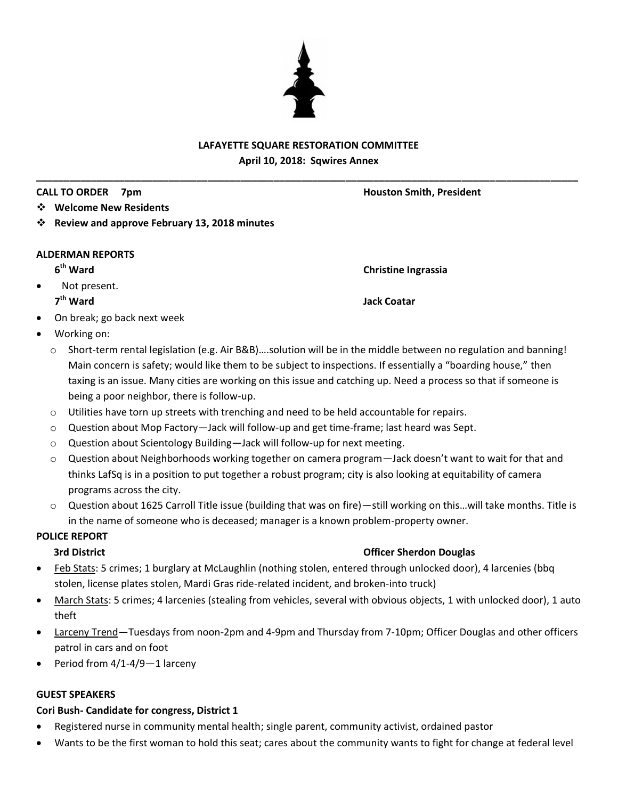# **LAFAYETTE SQUARE RESTORATION COMMITTEE April 10, 2018: Sqwires Annex**

**\_\_\_\_\_\_\_\_\_\_\_\_\_\_\_\_\_\_\_\_\_\_\_\_\_\_\_\_\_\_\_\_\_\_\_\_\_\_\_\_\_\_\_\_\_\_\_\_\_\_\_\_\_\_\_\_\_\_\_\_\_\_\_\_\_\_\_\_\_\_\_\_\_\_\_\_\_\_\_\_\_\_\_\_\_\_\_\_\_\_\_\_\_\_\_\_\_\_**

## **CALL TO ORDER 7pm Houston Smith, President**

- **Welcome New Residents**
- **Review and approve February 13, 2018 minutes**

### **ALDERMAN REPORTS**

# 6<sup>th</sup> Ward

 Not present. 7<sup>th</sup> Ward

**Jack Coatar** 

**Christine Ingrassia** 

- On break; go back next week
- Working on:
	- o Short-term rental legislation (e.g. Air B&B)….solution will be in the middle between no regulation and banning! Main concern is safety; would like them to be subject to inspections. If essentially a "boarding house," then taxing is an issue. Many cities are working on this issue and catching up. Need a process so that if someone is being a poor neighbor, there is follow-up.
	- $\circ$  Utilities have torn up streets with trenching and need to be held accountable for repairs.
	- o Question about Mop Factory—Jack will follow-up and get time-frame; last heard was Sept.
	- o Question about Scientology Building—Jack will follow-up for next meeting.
	- o Question about Neighborhoods working together on camera program—Jack doesn't want to wait for that and thinks LafSq is in a position to put together a robust program; city is also looking at equitability of camera programs across the city.
	- o Question about 1625 Carroll Title issue (building that was on fire)—still working on this…will take months. Title is in the name of someone who is deceased; manager is a known problem-property owner.

# **POLICE REPORT**

# **3rd District Community Community Community Community Community Community Community Community Community Community**

- Feb Stats: 5 crimes; 1 burglary at McLaughlin (nothing stolen, entered through unlocked door), 4 larcenies (bbq stolen, license plates stolen, Mardi Gras ride-related incident, and broken-into truck)
- March Stats: 5 crimes; 4 larcenies (stealing from vehicles, several with obvious objects, 1 with unlocked door), 1 auto theft
- Larceny Trend—Tuesdays from noon-2pm and 4-9pm and Thursday from 7-10pm; Officer Douglas and other officers patrol in cars and on foot
- Period from 4/1-4/9—1 larceny

### **GUEST SPEAKERS**

### **Cori Bush- Candidate for congress, District 1**

- Registered nurse in community mental health; single parent, community activist, ordained pastor
- Wants to be the first woman to hold this seat; cares about the community wants to fight for change at federal level

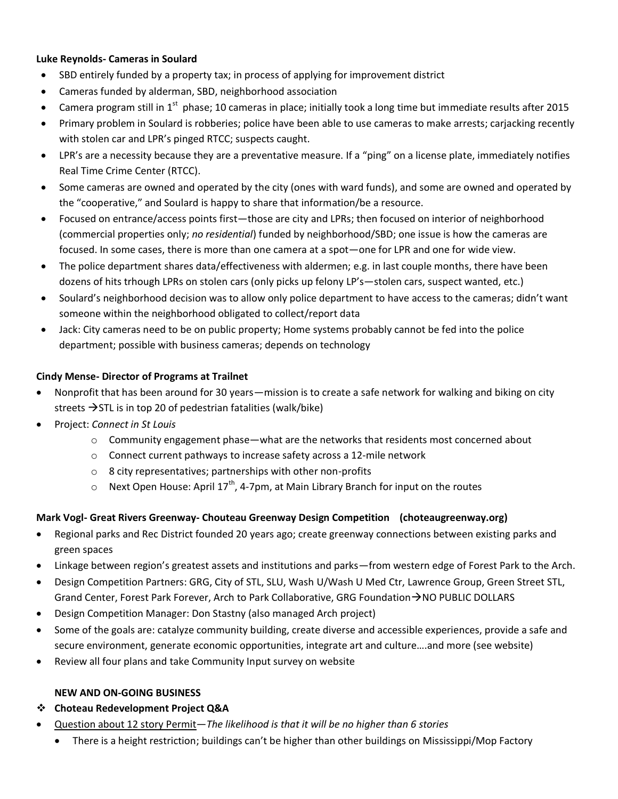### **Luke Reynolds- Cameras in Soulard**

- SBD entirely funded by a property tax; in process of applying for improvement district
- Cameras funded by alderman, SBD, neighborhood association
- Camera program still in 1<sup>st</sup> phase; 10 cameras in place; initially took a long time but immediate results after 2015
- Primary problem in Soulard is robberies; police have been able to use cameras to make arrests; carjacking recently with stolen car and LPR's pinged RTCC; suspects caught.
- LPR's are a necessity because they are a preventative measure. If a "ping" on a license plate, immediately notifies Real Time Crime Center (RTCC).
- Some cameras are owned and operated by the city (ones with ward funds), and some are owned and operated by the "cooperative," and Soulard is happy to share that information/be a resource.
- Focused on entrance/access points first—those are city and LPRs; then focused on interior of neighborhood (commercial properties only; *no residential*) funded by neighborhood/SBD; one issue is how the cameras are focused. In some cases, there is more than one camera at a spot—one for LPR and one for wide view.
- The police department shares data/effectiveness with aldermen; e.g. in last couple months, there have been dozens of hits trhough LPRs on stolen cars (only picks up felony LP's—stolen cars, suspect wanted, etc.)
- Soulard's neighborhood decision was to allow only police department to have access to the cameras; didn't want someone within the neighborhood obligated to collect/report data
- Jack: City cameras need to be on public property; Home systems probably cannot be fed into the police department; possible with business cameras; depends on technology

### **Cindy Mense- Director of Programs at Trailnet**

- Nonprofit that has been around for 30 years—mission is to create a safe network for walking and biking on city streets  $\rightarrow$  STL is in top 20 of pedestrian fatalities (walk/bike)
- Project: *Connect in St Louis*
	- $\circ$  Community engagement phase—what are the networks that residents most concerned about
	- o Connect current pathways to increase safety across a 12-mile network
	- o 8 city representatives; partnerships with other non-profits
	- $\circ$  Next Open House: April 17<sup>th</sup>, 4-7pm, at Main Library Branch for input on the routes

### **Mark Vogl- Great Rivers Greenway- Chouteau Greenway Design Competition (choteaugreenway.org)**

- Regional parks and Rec District founded 20 years ago; create greenway connections between existing parks and green spaces
- Linkage between region's greatest assets and institutions and parks—from western edge of Forest Park to the Arch.
- Design Competition Partners: GRG, City of STL, SLU, Wash U/Wash U Med Ctr, Lawrence Group, Green Street STL, Grand Center, Forest Park Forever, Arch to Park Collaborative, GRG Foundation  $\rightarrow$  NO PUBLIC DOLLARS
- Design Competition Manager: Don Stastny (also managed Arch project)
- Some of the goals are: catalyze community building, create diverse and accessible experiences, provide a safe and secure environment, generate economic opportunities, integrate art and culture….and more (see website)
- Review all four plans and take Community Input survey on website

### **NEW AND ON-GOING BUSINESS**

### **Choteau Redevelopment Project Q&A**

- Question about 12 story Permit—*The likelihood is that it will be no higher than 6 stories*
	- There is a height restriction; buildings can't be higher than other buildings on Mississippi/Mop Factory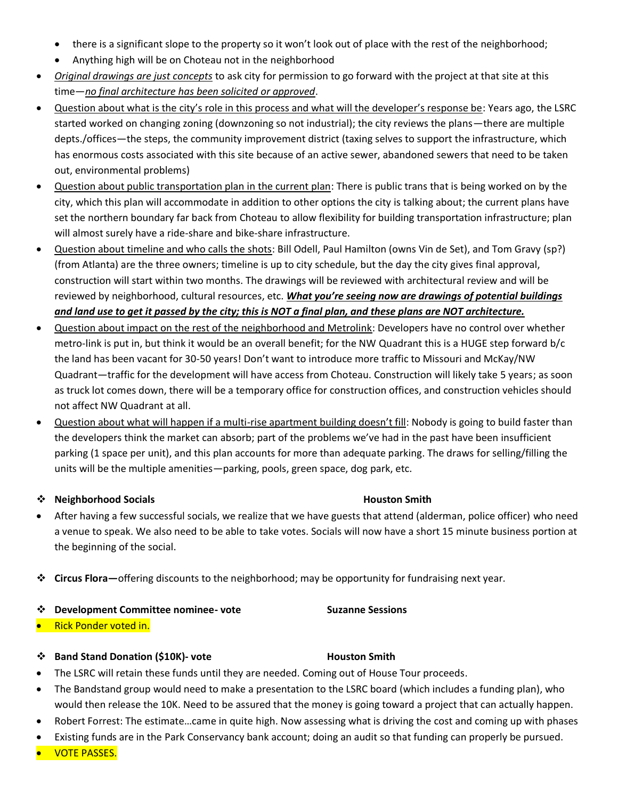- there is a significant slope to the property so it won't look out of place with the rest of the neighborhood;
- Anything high will be on Choteau not in the neighborhood
- *Original drawings are just concepts* to ask city for permission to go forward with the project at that site at this time—*no final architecture has been solicited or approved*.
- Question about what is the city's role in this process and what will the developer's response be: Years ago, the LSRC started worked on changing zoning (downzoning so not industrial); the city reviews the plans—there are multiple depts./offices—the steps, the community improvement district (taxing selves to support the infrastructure, which has enormous costs associated with this site because of an active sewer, abandoned sewers that need to be taken out, environmental problems)
- Question about public transportation plan in the current plan: There is public trans that is being worked on by the city, which this plan will accommodate in addition to other options the city is talking about; the current plans have set the northern boundary far back from Choteau to allow flexibility for building transportation infrastructure; plan will almost surely have a ride-share and bike-share infrastructure.
- Question about timeline and who calls the shots: Bill Odell, Paul Hamilton (owns Vin de Set), and Tom Gravy (sp?) (from Atlanta) are the three owners; timeline is up to city schedule, but the day the city gives final approval, construction will start within two months. The drawings will be reviewed with architectural review and will be reviewed by neighborhood, cultural resources, etc. *What you're seeing now are drawings of potential buildings and land use to get it passed by the city; this is NOT a final plan, and these plans are NOT architecture.*
- Question about impact on the rest of the neighborhood and Metrolink: Developers have no control over whether metro-link is put in, but think it would be an overall benefit; for the NW Quadrant this is a HUGE step forward b/c the land has been vacant for 30-50 years! Don't want to introduce more traffic to Missouri and McKay/NW Quadrant—traffic for the development will have access from Choteau. Construction will likely take 5 years; as soon as truck lot comes down, there will be a temporary office for construction offices, and construction vehicles should not affect NW Quadrant at all.
- Question about what will happen if a multi-rise apartment building doesn't fill: Nobody is going to build faster than the developers think the market can absorb; part of the problems we've had in the past have been insufficient parking (1 space per unit), and this plan accounts for more than adequate parking. The draws for selling/filling the units will be the multiple amenities—parking, pools, green space, dog park, etc.

### **<sup>❖</sup> Neighborhood Socials Mathematic Socials Houston Smith**

- After having a few successful socials, we realize that we have guests that attend (alderman, police officer) who need a venue to speak. We also need to be able to take votes. Socials will now have a short 15 minute business portion at the beginning of the social.
- **Circus Flora—**offering discounts to the neighborhood; may be opportunity for fundraising next year.

### **Development Committee nominee- vote Suzanne Sessions**

Rick Ponder voted in.

### **Band Stand Donation (\$10K)- vote Houston Smith**

- The LSRC will retain these funds until they are needed. Coming out of House Tour proceeds.
- The Bandstand group would need to make a presentation to the LSRC board (which includes a funding plan), who would then release the 10K. Need to be assured that the money is going toward a project that can actually happen.
- Robert Forrest: The estimate…came in quite high. Now assessing what is driving the cost and coming up with phases
- Existing funds are in the Park Conservancy bank account; doing an audit so that funding can properly be pursued.
- VOTE PASSES.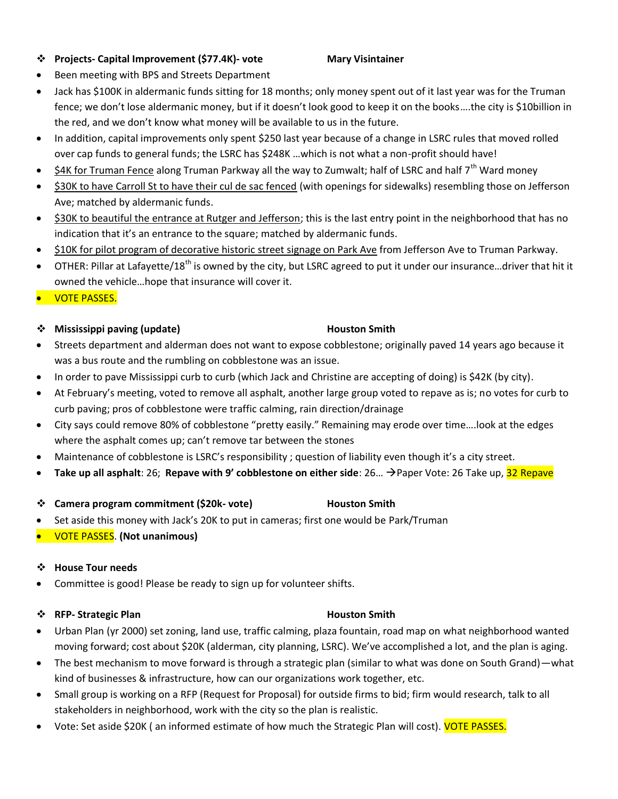### **Projects- Capital Improvement (\$77.4K)- vote Mary Visintainer**

Been meeting with BPS and Streets Department

# Jack has \$100K in aldermanic funds sitting for 18 months; only money spent out of it last year was for the Truman fence; we don't lose aldermanic money, but if it doesn't look good to keep it on the books….the city is \$10billion in the red, and we don't know what money will be available to us in the future.

- In addition, capital improvements only spent \$250 last year because of a change in LSRC rules that moved rolled over cap funds to general funds; the LSRC has \$248K …which is not what a non-profit should have!
- \$4K for Truman Fence along Truman Parkway all the way to Zumwalt; half of LSRC and half 7<sup>th</sup> Ward money
- S30K to have Carroll St to have their cul de sac fenced (with openings for sidewalks) resembling those on Jefferson Ave; matched by aldermanic funds.
- \$30K to beautiful the entrance at Rutger and Jefferson; this is the last entry point in the neighborhood that has no indication that it's an entrance to the square; matched by aldermanic funds.
- \$10K for pilot program of decorative historic street signage on Park Ave from Jefferson Ave to Truman Parkway.
- $\bullet$  OTHER: Pillar at Lafayette/18<sup>th</sup> is owned by the city, but LSRC agreed to put it under our insurance...driver that hit it owned the vehicle…hope that insurance will cover it.
- **VOTE PASSES.**

## **Mississippi paving (update) Houston Smith**

- Streets department and alderman does not want to expose cobblestone; originally paved 14 years ago because it was a bus route and the rumbling on cobblestone was an issue.
- In order to pave Mississippi curb to curb (which Jack and Christine are accepting of doing) is \$42K (by city).
- At February's meeting, voted to remove all asphalt, another large group voted to repave as is; no votes for curb to curb paving; pros of cobblestone were traffic calming, rain direction/drainage
- City says could remove 80% of cobblestone "pretty easily." Remaining may erode over time….look at the edges where the asphalt comes up; can't remove tar between the stones
- Maintenance of cobblestone is LSRC's responsibility ; question of liability even though it's a city street.
- **Take up all asphalt**: 26; **Repave with 9' cobblestone on either side**: 26… Paper Vote: 26 Take up, 32 Repave
- **Camera program commitment (\$20k- vote) Houston Smith**
- Set aside this money with Jack's 20K to put in cameras; first one would be Park/Truman
- VOTE PASSES. **(Not unanimous)**

### **House Tour needs**

Committee is good! Please be ready to sign up for volunteer shifts.

### **<sup>❖</sup>** RFP- Strategic Plan **Houston Smith**

- Urban Plan (yr 2000) set zoning, land use, traffic calming, plaza fountain, road map on what neighborhood wanted moving forward; cost about \$20K (alderman, city planning, LSRC). We've accomplished a lot, and the plan is aging.
- The best mechanism to move forward is through a strategic plan (similar to what was done on South Grand)—what kind of businesses & infrastructure, how can our organizations work together, etc.
- Small group is working on a RFP (Request for Proposal) for outside firms to bid; firm would research, talk to all stakeholders in neighborhood, work with the city so the plan is realistic.
- Vote: Set aside \$20K (an informed estimate of how much the Strategic Plan will cost). VOTE PASSES.